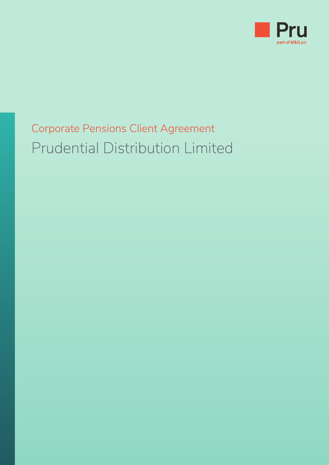

# Corporate Pensions Client Agreement Prudential Distribution Limited

- -
	-
	- - - -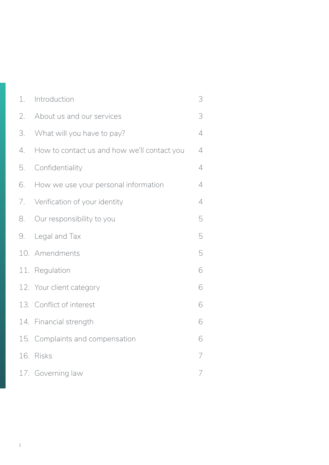| 1. | Introduction                                | 3 |
|----|---------------------------------------------|---|
| 2. | About us and our services                   | 3 |
| 3. | What will you have to pay?                  | 4 |
| 4. | How to contact us and how we'll contact you | 4 |
| 5. | Confidentiality                             | 4 |
| 6. | How we use your personal information        | 4 |
| 7. | Verification of your identity               | 4 |
| 8. | Our responsibility to you                   | 5 |
| 9. | Legal and Tax                               | 5 |
|    | 10. Amendments                              | 5 |
|    | 11. Regulation                              | 6 |
|    | 12. Your client category                    | 6 |
|    | 13. Conflict of interest                    | 6 |
|    | 14. Financial strength                      | 6 |
|    | 15. Complaints and compensation             | 6 |
|    | 16. Risks                                   | 7 |
|    | 17. Governing law                           | 7 |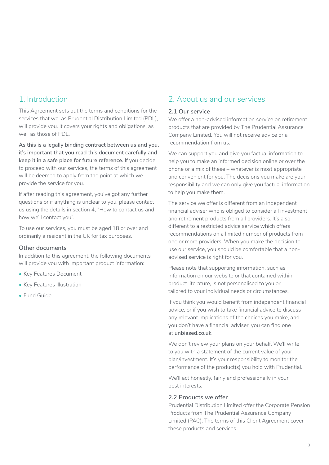#### <span id="page-2-0"></span>1. Introduction

This Agreement sets out the terms and conditions for the services that we, as Prudential Distribution Limited (PDL), will provide you. It covers your rights and obligations, as well as those of PDL.

**As this is a legally binding contract between us and you, it's important that you read this document carefully and keep it in a safe place for future reference.** If you decide to proceed with our services, the terms of this agreement will be deemed to apply from the point at which we provide the service for you.

If after reading this agreement, you've got any further questions or if anything is unclear to you, please contact us using the details in section 4, "How to contact us and how we'll contact you".

To use our services, you must be aged 18 or over and ordinarily a resident in the UK for tax purposes.

#### **Other documents**

In addition to this agreement, the following documents will provide you with important product information:

- Key Features Document
- Key Features Illustration
- Fund Guide

## 2. About us and our services

#### **2.1 Our service**

We offer a non-advised information service on retirement products that are provided by The Prudential Assurance Company Limited. You will not receive advice or a recommendation from us.

We can support you and give you factual information to help you to make an informed decision online or over the phone or a mix of these – whatever is most appropriate and convenient for you. The decisions you make are your responsibility and we can only give you factual information to help you make them.

The service we offer is different from an independent financial adviser who is obliged to consider all investment and retirement products from all providers. It's also different to a restricted advice service which offers recommendations on a limited number of products from one or more providers. When you make the decision to use our service, you should be comfortable that a nonadvised service is right for you.

Please note that supporting information, such as information on our website or that contained within product literature, is not personalised to you or tailored to your individual needs or circumstances.

If you think you would benefit from independent financial advice, or if you wish to take financial advice to discuss any relevant implications of the choices you make, and you don't have a financial adviser, you can find one at **[unbiased.co.uk](https://www.unbiased.co.uk)**

We don't review your plans on your behalf. We'll write to you with a statement of the current value of your plan/investment. It's your responsibility to monitor the performance of the product(s) you hold with Prudential.

We'll act honestly, fairly and professionally in your best interests.

#### **2.2 Products we offer**

Prudential Distribution Limited offer the Corporate Pension Products from The Prudential Assurance Company Limited (PAC). The terms of this Client Agreement cover these products and services.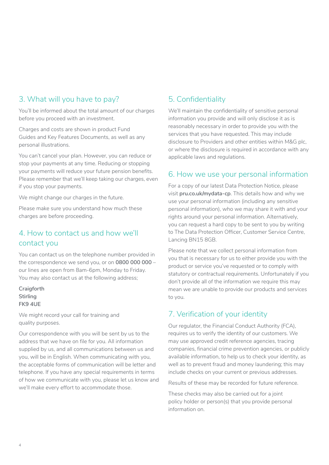# <span id="page-3-0"></span>3. What will you have to pay?

You'll be informed about the total amount of our charges before you proceed with an investment.

Charges and costs are shown in product Fund Guides and Key Features Documents, as well as any personal illustrations.

You can't cancel your plan. However, you can reduce or stop your payments at any time. Reducing or stopping your payments will reduce your future pension benefits. Please remember that we'll keep taking our charges, even if you stop your payments.

We might change our charges in the future.

Please make sure you understand how much these charges are before proceeding.

# 4. How to contact us and how we'll contact you

You can contact us on the telephone number provided in the correspondence we send you, or on **0800 000 000** – our lines are open from 8am-6pm, Monday to Friday. You may also contact us at the following address;

**Craigforth Stirling FK9 4UE**

We might record your call for training and quality purposes.

Our correspondence with you will be sent by us to the address that we have on file for you. All information supplied by us, and all communications between us and you, will be in English. When communicating with you, the acceptable forms of communication will be letter and telephone. If you have any special requirements in terms of how we communicate with you, please let us know and we'll make every effort to accommodate those.

# 5. Confidentiality

We'll maintain the confidentiality of sensitive personal information you provide and will only disclose it as is reasonably necessary in order to provide you with the services that you have requested. This may include disclosure to Providers and other entities within M&G plc, or where the disclosure is required in accordance with any applicable laws and regulations.

## 6. How we use your personal information

For a copy of our latest Data Protection Notice, please visit **[pru.co.uk/mydata-cp](http://www.pru.co.uk/mydata-cp)**. This details how and why we use your personal information (including any sensitive personal information), who we may share it with and your rights around your personal information. Alternatively, you can request a hard copy to be sent to you by writing to The Data Protection Officer, Customer Service Centre, Lancing BN15 8GB.

Please note that we collect personal information from you that is necessary for us to either provide you with the product or service you've requested or to comply with statutory or contractual requirements. Unfortunately if you don't provide all of the information we require this may mean we are unable to provide our products and services to you.

# 7. Verification of your identity

Our regulator, the Financial Conduct Authority (FCA), requires us to verify the identity of our customers. We may use approved credit reference agencies, tracing companies, financial crime prevention agencies, or publicly available information, to help us to check your identity, as well as to prevent fraud and money laundering; this may include checks on your current or previous addresses.

Results of these may be recorded for future reference.

These checks may also be carried out for a joint policy holder or person(s) that you provide personal information on.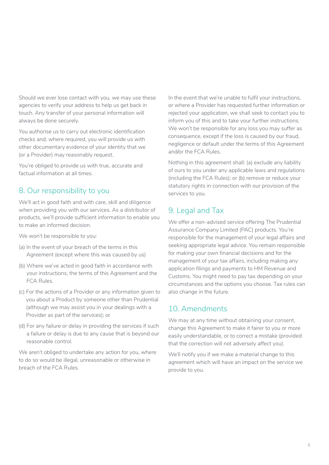<span id="page-4-0"></span>Should we ever lose contact with you, we may use these agencies to verify your address to help us get back in touch. Any transfer of your personal information will always be done securely.

You authorise us to carry out electronic identification checks and, where required, you will provide us with other documentary evidence of your identity that we (or a Provider) may reasonably request.

You're obliged to provide us with true, accurate and factual information at all times.

## 8. Our responsibility to you

We'll act in good faith and with care, skill and diligence when providing you with our services. As a distributor of products, we'll provide sufficient information to enable you to make an informed decision.

We won't be responsible to you:

- (a) In the event of your breach of the terms in this Agreement (except where this was caused by us)
- (b) Where we've acted in good faith in accordance with your instructions, the terms of this Agreement and the FCA Rules.
- (c) For the actions of a Provider or any information given to you about a Product by someone other than Prudential (although we may assist you in your dealings with a Provider as part of the services); or
- (d) For any failure or delay in providing the services if such a failure or delay is due to any cause that is beyond our reasonable control.

We aren't obliged to undertake any action for you, where to do so would be illegal, unreasonable or otherwise in breach of the FCA Rules.

In the event that we're unable to fulfil your instructions, or where a Provider has requested further information or rejected your application, we shall seek to contact you to inform you of this and to take your further instructions. We won't be responsible for any loss you may suffer as consequence, except if the loss is caused by our fraud, negligence or default under the terms of this Agreement and/or the FCA Rules.

Nothing in this agreement shall: (a) exclude any liability of ours to you under any applicable laws and regulations (including the FCA Rules); or (b) remove or reduce your statutory rights in connection with our provision of the services to you.

# 9. Legal and Tax

We offer a non-advised service offering The Prudential Assurance Company Limited (PAC) products. You're responsible for the management of your legal affairs and seeking appropriate legal advice. You remain responsible for making your own financial decisions and for the management of your tax affairs, including making any application filings and payments to HM Revenue and Customs. You might need to pay tax depending on your circumstances and the options you choose. Tax rules can also change in the future.

#### 10. Amendments

We may at any time without obtaining your consent. change this Agreement to make it fairer to you or more easily understandable, or to correct a mistake (provided that the correction will not adversely affect you).

We'll notify you if we make a material change to this agreement which will have an impact on the service we provide to you.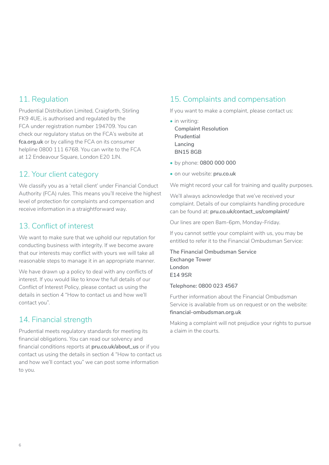# <span id="page-5-0"></span>11. Regulation

Prudential Distribution Limited, Craigforth, Stirling FK9 4UE, is authorised and regulated by the FCA under registration number 194709. You can check our regulatory status on the FCA's website at **[fca.org.uk](https://www.fca.org.uk/)** or by calling the FCA on its consumer helpline 0800 111 6768. You can write to the FCA at 12 Endeavour Square, London E20 1JN.

## 12. Your client category

We classify you as a 'retail client' under Financial Conduct Authority (FCA) rules. This means you'll receive the highest level of protection for complaints and compensation and receive information in a straightforward way.

# 13. Conflict of interest

We want to make sure that we uphold our reputation for conducting business with integrity. If we become aware that our interests may conflict with yours we will take all reasonable steps to manage it in an appropriate manner.

We have drawn up a policy to deal with any conflicts of interest. If you would like to know the full details of our Conflict of Interest Policy, please contact us using the details in section 4 "How to contact us and how we'll contact you".

# 14. Financial strength

Prudential meets regulatory standards for meeting its financial obligations. You can read our solvency and financial conditions reports at **[pru.co.uk/about\\_us](http://www.pru.co.uk/about_us)** or if you contact us using the details in section 4 "How to contact us and how we'll contact you" we can post some information to you.

# 15. Complaints and compensation

If you want to make a complaint, please contact us:

- in writing: **Complaint Resolution Prudential Lancing BN15 8GB**
- by phone: **0800 000 000**
- on our website: **[pru.co.uk](http://www.pru.co.uk)**

We might record your call for training and quality purposes.

We'll always acknowledge that we've received your complaint. Details of our complaints handling procedure can be found at: **[pru.co.uk/contact\\_us/complaint/](http://www.pru.co.uk/contact_us/complaint/)**

Our lines are open 8am-6pm, Monday-Friday.

If you cannot settle your complaint with us, you may be entitled to refer it to the Financial Ombudsman Service:

**The Financial Ombudsman Service Exchange Tower London E14 9SR**

**Telephone: 0800 023 4567**

Further information about the Financial Ombudsman Service is available from us on request or on the website: **[financial-ombudsman.org.uk](http://www.financial-ombudsman.org.uk)**

Making a complaint will not prejudice your rights to pursue a claim in the courts.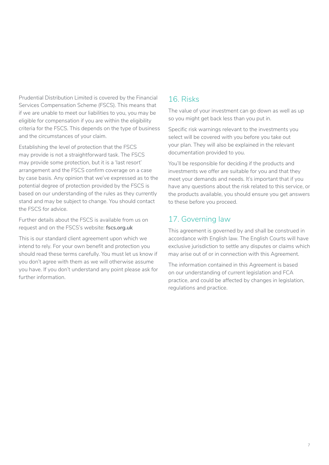<span id="page-6-0"></span>Prudential Distribution Limited is covered by the Financial Services Compensation Scheme (FSCS). This means that if we are unable to meet our liabilities to you, you may be eligible for compensation if you are within the eligibility criteria for the FSCS. This depends on the type of business and the circumstances of your claim.

Establishing the level of protection that the FSCS may provide is not a straightforward task. The FSCS may provide some protection, but it is a 'last resort' arrangement and the FSCS confirm coverage on a case by case basis. Any opinion that we've expressed as to the potential degree of protection provided by the FSCS is based on our understanding of the rules as they currently stand and may be subject to change. You should contact the FSCS for advice.

Further details about the FSCS is available from us on request and on the FSCS's website: **[fscs.org.uk](http://www.fscs.org.uk)** 

This is our standard client agreement upon which we intend to rely. For your own benefit and protection you should read these terms carefully. You must let us know if you don't agree with them as we will otherwise assume you have. If you don't understand any point please ask for further information.

# 16. Risks

The value of your investment can go down as well as up so you might get back less than you put in.

Specific risk warnings relevant to the investments you select will be covered with you before you take out your plan. They will also be explained in the relevant documentation provided to you.

You'll be responsible for deciding if the products and investments we offer are suitable for you and that they meet your demands and needs. It's important that if you have any questions about the risk related to this service, or the products available, you should ensure you get answers to these before you proceed.

# 17. Governing law

This agreement is governed by and shall be construed in accordance with English law. The English Courts will have exclusive jurisdiction to settle any disputes or claims which may arise out of or in connection with this Agreement.

The information contained in this Agreement is based on our understanding of current legislation and FCA practice, and could be affected by changes in legislation, regulations and practice.